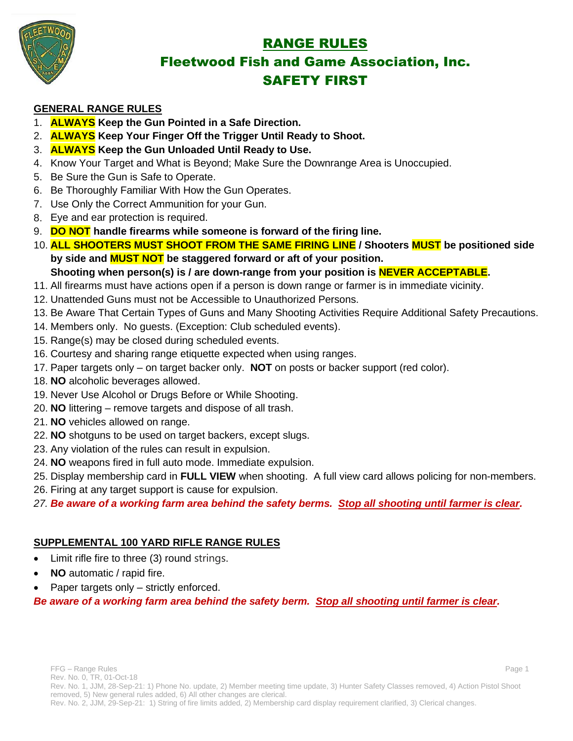

# RANGE RULES Fleetwood Fish and Game Association, Inc. SAFETY FIRST

### **GENERAL RANGE RULES**

- 1. **ALWAYS Keep the Gun Pointed in a Safe Direction.**
- 2. **ALWAYS Keep Your Finger Off the Trigger Until Ready to Shoot.**
- 3. **ALWAYS Keep the Gun Unloaded Until Ready to Use.**
- 4. Know Your Target and What is Beyond; Make Sure the Downrange Area is Unoccupied.
- 5. Be Sure the Gun is Safe to Operate.
- 6. Be Thoroughly Familiar With How the Gun Operates.
- 7. Use Only the Correct Ammunition for your Gun.
- 8. Eye and ear protection is required.
- 9. **DO NOT handle firearms while someone is forward of the firing line.**
- 10. **ALL SHOOTERS MUST SHOOT FROM THE SAME FIRING LINE / Shooters MUST be positioned side by side and MUST NOT be staggered forward or aft of your position. Shooting when person(s) is / are down-range from your position is NEVER ACCEPTABLE.**
- 11. All firearms must have actions open if a person is down range or farmer is in immediate vicinity.
- 12. Unattended Guns must not be Accessible to Unauthorized Persons.
- 13. Be Aware That Certain Types of Guns and Many Shooting Activities Require Additional Safety Precautions.
- 14. Members only. No guests. (Exception: Club scheduled events).
- 15. Range(s) may be closed during scheduled events.
- 16. Courtesy and sharing range etiquette expected when using ranges.
- 17. Paper targets only on target backer only. **NOT** on posts or backer support (red color).
- 18. **NO** alcoholic beverages allowed.
- 19. Never Use Alcohol or Drugs Before or While Shooting.
- 20. **NO** littering remove targets and dispose of all trash.
- 21. **NO** vehicles allowed on range.
- 22. **NO** shotguns to be used on target backers, except slugs.
- 23. Any violation of the rules can result in expulsion.
- 24. **NO** weapons fired in full auto mode. Immediate expulsion.
- 25. Display membership card in **FULL VIEW** when shooting. A full view card allows policing for non-members.
- 26. Firing at any target support is cause for expulsion.
- *27. Be aware of a working farm area behind the safety berms. Stop all shooting until farmer is clear.*

# **SUPPLEMENTAL 100 YARD RIFLE RANGE RULES**

- Limit rifle fire to three (3) round strings.
- **NO** automatic / rapid fire.
- Paper targets only strictly enforced.

*Be aware of a working farm area behind the safety berm. Stop all shooting until farmer is clear.*